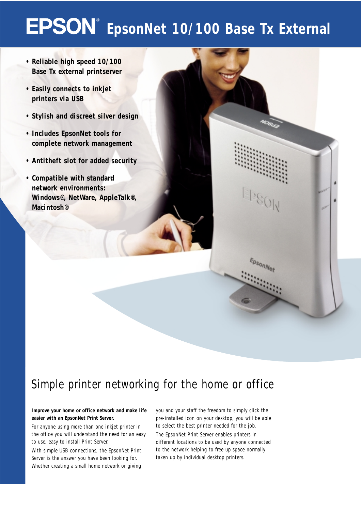## **EpsonNet 10/100 Base Tx External**

- **Reliable high speed 10/100 Base Tx external printserver**
- **Easily connects to inkjet printers via USB**
- **Stylish and discreet silver design**
- **Includes EpsonNet tools for complete network management**
- **Antitheft slot for added security**
- **Compatible with standard network environments: Windows®, NetWare, AppleTalk®, Macintosh®**

### *Simple printer networking for the home or office*

### **Improve your home or office network and make life easier with an EpsonNet Print Server.**

For anyone using more than one inkjet printer in the office you will understand the need for an easy to use, easy to install Print Server.

With simple USB connections, the EpsonNet Print Server is the answer you have been looking for. Whether creating a small home network or giving

you and your staff the freedom to simply click the pre-installed icon on your desktop, you will be able to select the best printer needed for the job. The EpsonNet Print Server enables printers in different locations to be used by anyone connected to the network helping to free up space normally taken up by individual desktop printers.

EpsonNet